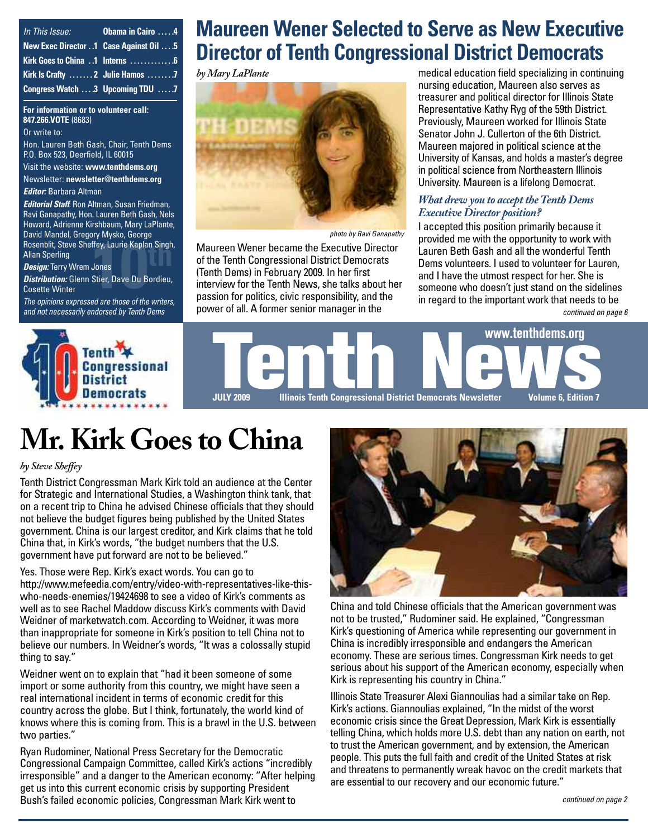| In This Issue:<br>and the state of the state of the state of the state of the state of the state of the state of the state of th | Obama in Cairo 4 |
|----------------------------------------------------------------------------------------------------------------------------------|------------------|
| New Exec Director 1 Case Against Oil 5                                                                                           |                  |
|                                                                                                                                  |                  |
| Kirk Is Crafty  2 Julie Hamos  7                                                                                                 |                  |
| Congress Watch 3 Upcoming TDU 7                                                                                                  |                  |

**For information or to volunteer call: 847.266.VOTE** (8683)

Or write to:

Hon. Lauren Beth Gash, Chair, Tenth Dems P.O. Box 523, Deerfield, IL 60015

Visit the website: **[www.tenthdems.org](http://www.tenthdems.org)** 

Newsletter: **[newsletter@tenthdems.org](mailto:newsletter@tenthdems.org)**

#### *Editor:* Barbara Altman

**ffey, Laurie Kaplan Singh<br>Jones<br>Stier, Dave Du Bordieu,<br>od or thoog of the unitary** *Editorial Staff*: Ron Altman, Susan Friedman, Ravi Ganapathy, Hon. Lauren Beth Gash, Nels Howard, Adrienne Kirshbaum, Mary LaPlante, David Mandel, Gregory Mysko, George Rosenblit, Steve Sheffey, Laurie Kaplan Singh, Allan Sperling

*Design:* Terry Wrem Jones

#### *Distribution:* Glenn Stier, Dave Du Bordieu, Cosette Winter

*The opinions expressed are those of the writers, and not necessarily endorsed by Tenth Dems*

Tent

District

# **Maureen Wener Selected to Serve as New Executive Director of Tenth Congressional District Democrats**

*by Mary LaPlante*



*photo by Ravi Ganapathy*

Maureen Wener became the Executive Director of the Tenth Congressional District Democrats (Tenth Dems) in February 2009. In her first interview for the Tenth News, she talks about her passion for politics, civic responsibility, and the power of all. A former senior manager in the

medical education field specializing in continuing nursing education, Maureen also serves as treasurer and political director for Illinois State Representative Kathy Ryg of the 59th District. Previously, Maureen worked for Illinois State Senator John J. Cullerton of the 6th District. Maureen majored in political science at the University of Kansas, and holds a master's degree in political science from Northeastern Illinois University. Maureen is a lifelong Democrat.

### *What drew you to accept the Tenth Dems Executive Director position?*

I accepted this position primarily because it provided me with the opportunity to work with Lauren Beth Gash and all the wonderful Tenth Dems volunteers. I used to volunteer for Lauren, and I have the utmost respect for her. She is someone who doesn't just stand on the sidelines in regard to the important work that needs to be *continued on page 6*



# **Mr. Kirk Goes to China**

#### *by Steve Sheffey*

Tenth District Congressman Mark Kirk told an audience at the Center for Strategic and International Studies, a Washington think tank, that on a recent trip to China he advised Chinese officials that they should not believe the budget figures being published by the United States government. China is our largest creditor, and Kirk claims that he told China that, in Kirk's words, "the budget numbers that the U.S. government have put forward are not to be believed."

Yes. Those were Rep. Kirk's exact words. You can go to [http://www.mefeedia.com/entry/video-with-representatives-like-this](http://www.mefeedia.com/entry/video-with-representatives-like-this-who-needs-enemies/19424698)who-[needs-enemies/19424698 to](http://www.mefeedia.com/entry/video-with-representatives-like-this-who-needs-enemies/19424698) see a video of Kirk's comments as well as to see Rachel Maddow discuss Kirk's comments with David Weidner of marketwatch.com. According to Weidner, it was more than inappropriate for someone in Kirk's position to tell China not to believe our numbers. In Weidner's words, "It was a colossally stupid thing to say."

Weidner went on to explain that "had it been someone of some import or some authority from this country, we might have seen a real international incident in terms of economic credit for this country across the globe. But I think, fortunately, the world kind of knows where this is coming from. This is a brawl in the U.S. between two parties."

Ryan Rudominer, National Press Secretary for the Democratic Congressional Campaign Committee, called Kirk's actions "incredibly irresponsible" and a danger to the American economy: "After helping get us into this current economic crisis by supporting President Bush's failed economic policies, Congressman Mark Kirk went to



China and told Chinese officials that the American government was not to be trusted," Rudominer said. He explained, "Congressman Kirk's questioning of America while representing our government in China is incredibly irresponsible and endangers the American economy. These are serious times. Congressman Kirk needs to get serious about his support of the American economy, especially when Kirk is representing his country in China."

Illinois State Treasurer Alexi Giannoulias had a similar take on Rep. Kirk's actions. Giannoulias explained, "In the midst of the worst economic crisis since the Great Depression, Mark Kirk is essentially telling China, which holds more U.S. debt than any nation on earth, not to trust the American government, and by extension, the American people. This puts the full faith and credit of the United States at risk and threatens to permanently wreak havoc on the credit markets that are essential to our recovery and our economic future."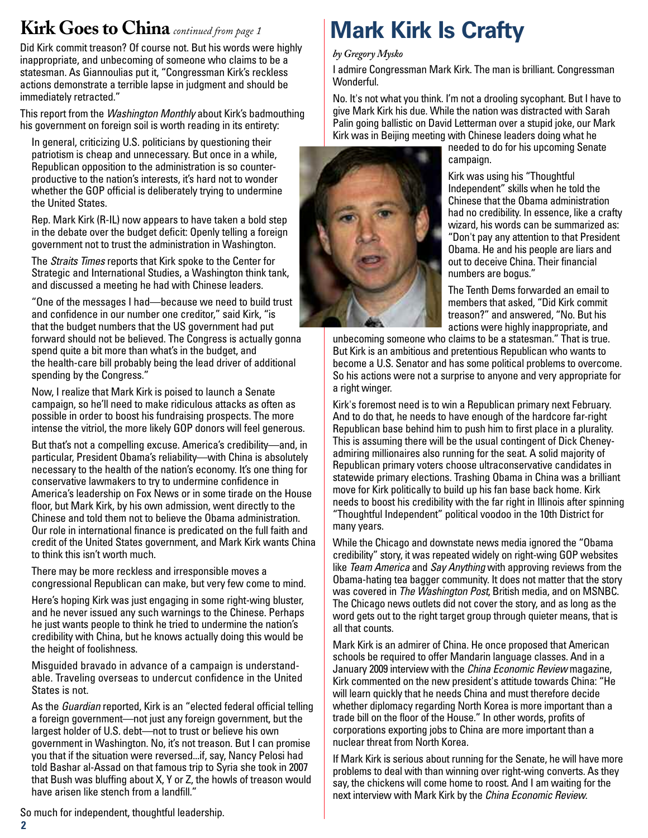# **Kirk Goes to China** *continued from page 1* **Mark Kirk Is Crafty**

Did Kirk commit treason? Of course not. But his words were highly inappropriate, and unbecoming of someone who claims to be a statesman. As Giannoulias put it, "Congressman Kirk's reckless actions demonstrate a terrible lapse in judgment and should be immediately retracted."

This report from the *Washington Monthly* about Kirk's badmouthing his government on foreign soil is worth reading in its entirety:

In general, criticizing U.S. politicians by questioning their patriotism is cheap and unnecessary. But once in a while, Republican opposition to the administration is so counterproductive to the nation's interests, it's hard not to wonder whether the GOP official is deliberately trying to undermine the United States.

Rep. Mark Kirk (R-IL) now appears to have taken a bold step in the debate over the budget deficit: Openly telling a foreign government not to trust the administration in Washington.

The *Straits Times* reports that Kirk spoke to the Center for Strategic and International Studies, a Washington think tank, and discussed a meeting he had with Chinese leaders.

"One of the messages I had—because we need to build trust and confidence in our number one creditor," said Kirk, "is that the budget numbers that the US government had put forward should not be believed. The Congress is actually gonna spend quite a bit more than what's in the budget, and the health-care bill probably being the lead driver of additional spending by the Congress."

Now, I realize that Mark Kirk is poised to launch a Senate campaign, so he'll need to make ridiculous attacks as often as possible in order to boost his fundraising prospects. The more intense the vitriol, the more likely GOP donors will feel generous.

But that's not a compelling excuse. America's credibility—and, in particular, President Obama's reliability—with China is absolutely necessary to the health of the nation's economy. It's one thing for conservative lawmakers to try to undermine confidence in America's leadership on Fox News or in some tirade on the House floor, but Mark Kirk, by his own admission, went directly to the Chinese and told them not to believe the Obama administration. Our role in international finance is predicated on the full faith and credit of the United States government, and Mark Kirk wants China to think this isn't worth much.

There may be more reckless and irresponsible moves a congressional Republican can make, but very few come to mind.

Here's hoping Kirk was just engaging in some right-wing bluster, and he never issued any such warnings to the Chinese. Perhaps he just wants people to think he tried to undermine the nation's credibility with China, but he knows actually doing this would be the height of foolishness.

Misguided bravado in advance of a campaign is understandable. Traveling overseas to undercut confidence in the United States is not.

As the *Guardian* reported, Kirk is an "elected federal official telling a foreign government—not just any foreign government, but the largest holder of U.S. debt—not to trust or believe his own government in Washington. No, it's not treason. But I can promise you that if the situation were reversed...if, say, Nancy Pelosi had told Bashar al-Assad on that famous trip to Syria she took in 2007 that Bush was bluffing about X, Y or Z, the howls of treason would have arisen like stench from a landfill."

#### *by Gregory Mysko*

I admire Congressman Mark Kirk. The man is brilliant. Congressman Wonderful.

No. It's not what you think. I'm not a drooling sycophant. But I have to give Mark Kirk his due. While the nation was distracted with Sarah Palin going ballistic on David Letterman over a stupid joke, our Mark Kirk was in Beijing meeting with Chinese leaders doing what he



needed to do for his upcoming Senate campaign.

Kirk was using his "Thoughtful Independent" skills when he told the Chinese that the Obama administration had no credibility. In essence, like a crafty wizard, his words can be summarized as: "Don't pay any attention to that President Obama. He and his people are liars and out to deceive China. Their financial numbers are bogus."

The Tenth Dems forwarded an email to members that asked, "Did Kirk commit treason?" and answered, "No. But his actions were highly inappropriate, and

unbecoming someone who claims to be a statesman." That is true. But Kirk is an ambitious and pretentious Republican who wants to become a U.S. Senator and has some political problems to overcome. So his actions were not a surprise to anyone and very appropriate for a right winger.

Kirk's foremost need is to win a Republican primary next February. And to do that, he needs to have enough of the hardcore far-right Republican base behind him to push him to first place in a plurality. This is assuming there will be the usual contingent of Dick Cheneyadmiring millionaires also running for the seat. A solid majority of Republican primary voters choose ultraconservative candidates in statewide primary elections. Trashing Obama in China was a brilliant move for Kirk politically to build up his fan base back home. Kirk needs to boost his credibility with the far right in Illinois after spinning "Thoughtful Independent" political voodoo in the 10th District for many years.

While the Chicago and downstate news media ignored the "Obama credibility" story, it was repeated widely on right-wing GOP websites like *Team America* and *Say Anything* with approving reviews from the Obama-hating tea bagger community. It does not matter that the story was covered in *The Washington Post*, British media, and on MSNBC. The Chicago news outlets did not cover the story, and as long as the word gets out to the right target group through quieter means, that is all that counts.

Mark Kirk is an admirer of China. He once proposed that American schools be required to offer Mandarin language classes. And in a January 2009 interview with the *China Economic Review* magazine, Kirk commented on the new president's attitude towards China: "He will learn quickly that he needs China and must therefore decide whether diplomacy regarding North Korea is more important than a trade bill on the floor of the House." In other words, profits of corporations exporting jobs to China are more important than a nuclear threat from North Korea.

If Mark Kirk is serious about running for the Senate, he will have more problems to deal with than winning over right-wing converts. As they say, the chickens will come home to roost. And I am waiting for the next interview with Mark Kirk by the *China Economic Review*.

So much for independent, thoughtful leadership.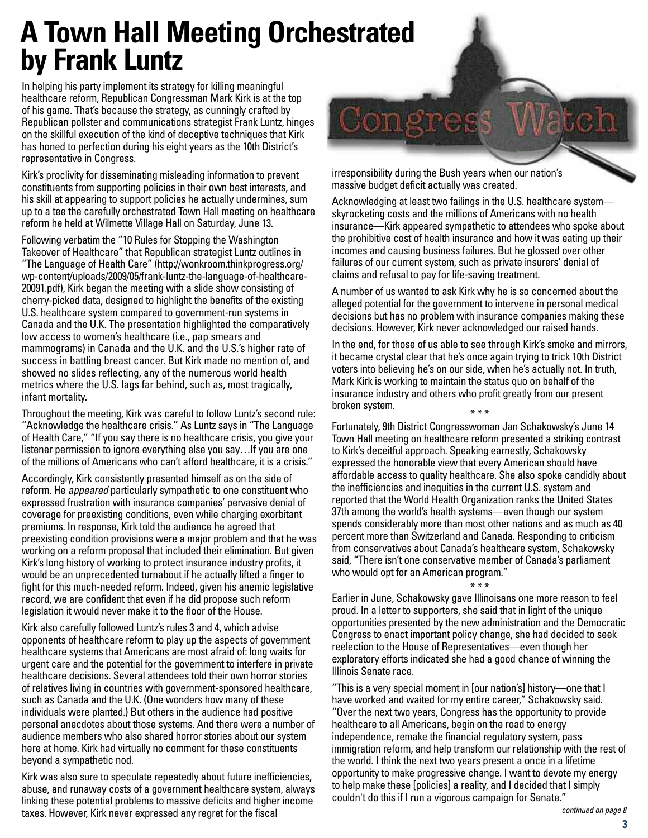# **A Town Hall Meeting Orchestrated by Frank Luntz**

In helping his party implement its strategy for killing meaningful healthcare reform, Republican Congressman Mark Kirk is at the top of his game. That's because the strategy, as cunningly crafted by Republican pollster and communications strategist Frank Luntz, hinges on the skillful execution of the kind of deceptive techniques that Kirk has honed to perfection during his eight years as the 10th District's representative in Congress.

Kirk's proclivity for disseminating misleading information to prevent constituents from supporting policies in their own best interests, and his skill at appearing to support policies he actually undermines, sum up to a tee the carefully orchestrated Town Hall meeting on healthcare reform he held at Wilmette Village Hall on Saturday, June 13.

Following verbatim the "10 Rules for Stopping the Washington Takeover of Healthcare" that Republican strategist Luntz outlines in "The Language of Health Care" ([http://wonkroom.thinkprogress.org/](http://wonkroom.thinkprogress.org/wp-content/uploads/2009/05/frank-luntz-the-language-of-healthcare-20091.pdf) [wp-content/uploads/2009/05/frank-luntz-the-language-of-healthcare-](http://wonkroom.thinkprogress.org/wp-content/uploads/2009/05/frank-luntz-the-language-of-healthcare-20091.pdf)[20091.pdf\), Kir](http://wonkroom.thinkprogress.org/wp-content/uploads/2009/05/frank-luntz-the-language-of-healthcare-20091.pdf)k began the meeting with a slide show consisting of cherry-picked data, designed to highlight the benefits of the existing U.S. healthcare system compared to government-run systems in Canada and the U.K. The presentation highlighted the comparatively low access to women's healthcare (i.e., pap smears and mammograms) in Canada and the U.K. and the U.S.'s higher rate of success in battling breast cancer. But Kirk made no mention of, and showed no slides reflecting, any of the numerous world health metrics where the U.S. lags far behind, such as, most tragically, infant mortality.

Throughout the meeting, Kirk was careful to follow Luntz's second rule: "Acknowledge the healthcare crisis." As Luntz says in "The Language of Health Care," "If you say there is no healthcare crisis, you give your listener permission to ignore everything else you say…If you are one of the millions of Americans who can't afford healthcare, it is a crisis."

Accordingly, Kirk consistently presented himself as on the side of reform. He *appeared* particularly sympathetic to one constituent who expressed frustration with insurance companies' pervasive denial of coverage for preexisting conditions, even while charging exorbitant premiums. In response, Kirk told the audience he agreed that preexisting condition provisions were a major problem and that he was working on a reform proposal that included their elimination. But given Kirk's long history of working to protect insurance industry profits, it would be an unprecedented turnabout if he actually lifted a finger to fight for this much-needed reform. Indeed, given his anemic legislative record, we are confident that even if he did propose such reform legislation it would never make it to the floor of the House.

Kirk also carefully followed Luntz's rules 3 and 4, which advise opponents of healthcare reform to play up the aspects of government healthcare systems that Americans are most afraid of: long waits for urgent care and the potential for the government to interfere in private healthcare decisions. Several attendees told their own horror stories of relatives living in countries with government-sponsored healthcare, such as Canada and the U.K. (One wonders how many of these individuals were planted.) But others in the audience had positive personal anecdotes about those systems. And there were a number of audience members who also shared horror stories about our system here at home. Kirk had virtually no comment for these constituents beyond a sympathetic nod.

Kirk was also sure to speculate repeatedly about future inefficiencies, abuse, and runaway costs of a government healthcare system, always linking these potential problems to massive deficits and higher income taxes. However, Kirk never expressed any regret for the fiscal

irresponsibility during the Bush years when our nation's massive budget deficit actually was created.

Congress

Acknowledging at least two failings in the U.S. healthcare system skyrocketing costs and the millions of Americans with no health insurance—Kirk appeared sympathetic to attendees who spoke about the prohibitive cost of health insurance and how it was eating up their incomes and causing business failures. But he glossed over other failures of our current system, such as private insurers' denial of claims and refusal to pay for life-saving treatment.

atch

A number of us wanted to ask Kirk why he is so concerned about the alleged potential for the government to intervene in personal medical decisions but has no problem with insurance companies making these decisions. However, Kirk never acknowledged our raised hands.

In the end, for those of us able to see through Kirk's smoke and mirrors, it became crystal clear that he's once again trying to trick 10th District voters into believing he's on our side, when he's actually not. In truth, Mark Kirk is working to maintain the status quo on behalf of the insurance industry and others who profit greatly from our present broken system.

Fortunately, 9th District Congresswoman Jan Schakowsky's June 14 Town Hall meeting on healthcare reform presented a striking contrast to Kirk's deceitful approach. Speaking earnestly, Schakowsky expressed the honorable view that every American should have affordable access to quality healthcare. She also spoke candidly about the inefficiencies and inequities in the current U.S. system and reported that the World Health Organization ranks the United States 37th among the world's health systems—even though our system spends considerably more than most other nations and as much as 40 percent more than Switzerland and Canada. Responding to criticism from conservatives about Canada's healthcare system, Schakowsky said, "There isn't one conservative member of Canada's parliament who would opt for an American program."

Earlier in June, Schakowsky gave Illinoisans one more reason to feel proud. In a letter to supporters, she said that in light of the unique opportunities presented by the new administration and the Democratic Congress to enact important policy change, she had decided to seek reelection to the House of Representatives—even though her exploratory efforts indicated she had a good chance of winning the Illinois Senate race.

"This is a very special moment in [our nation's] history—one that I have worked and waited for my entire career," Schakowsky said. "Over the next two years, Congress has the opportunity to provide healthcare to all Americans, begin on the road to energy independence, remake the financial regulatory system, pass immigration reform, and help transform our relationship with the rest of the world. I think the next two years present a once in a lifetime opportunity to make progressive change. I want to devote my energy to help make these [policies] a reality, and I decided that I simply couldn't do this if I run a vigorous campaign for Senate."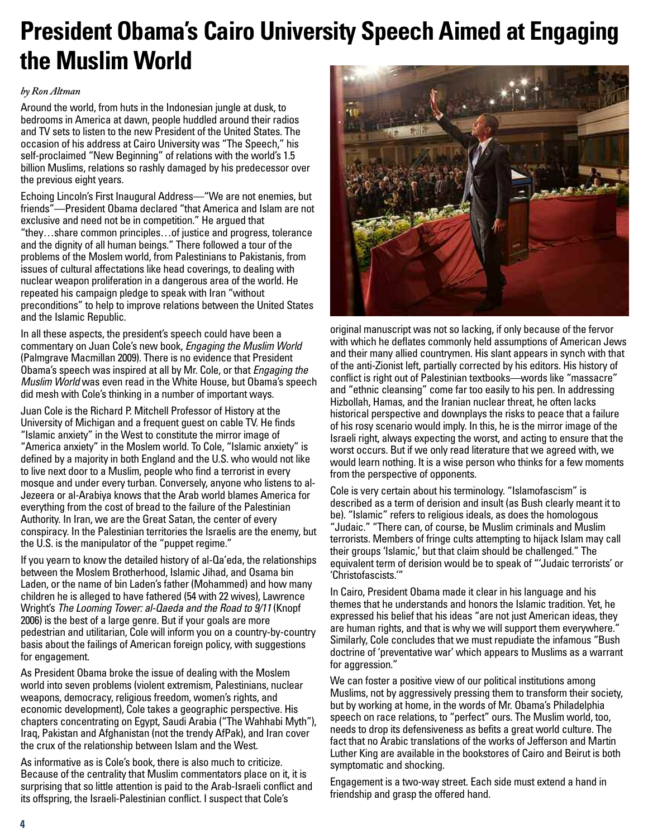# **President Obama's Cairo University Speech Aimed at Engaging the Muslim World**

#### *by Ron Altman*

Around the world, from huts in the Indonesian jungle at dusk, to bedrooms in America at dawn, people huddled around their radios and TV sets to listen to the new President of the United States. The occasion of his address at Cairo University was "The Speech," his self-proclaimed "New Beginning" of relations with the world's 1.5 billion Muslims, relations so rashly damaged by his predecessor over the previous eight years.

Echoing Lincoln's First Inaugural Address—"We are not enemies, but friends"—President Obama declared "that America and Islam are not exclusive and need not be in competition." He argued that "they…share common principles…of justice and progress, tolerance and the dignity of all human beings." There followed a tour of the problems of the Moslem world, from Palestinians to Pakistanis, from issues of cultural affectations like head coverings, to dealing with nuclear weapon proliferation in a dangerous area of the world. He repeated his campaign pledge to speak with Iran "without preconditions" to help to improve relations between the United States and the Islamic Republic.

In all these aspects, the president's speech could have been a commentary on Juan Cole's new book, *Engaging the Muslim World* (Palmgrave Macmillan 2009). There is no evidence that President Obama's speech was inspired at all by Mr. Cole, or that *Engaging the Muslim World* was even read in the White House, but Obama's speech did mesh with Cole's thinking in a number of important ways.

Juan Cole is the Richard P. Mitchell Professor of History at the University of Michigan and a frequent guest on cable TV. He finds "Islamic anxiety" in the West to constitute the mirror image of "America anxiety" in the Moslem world. To Cole, "Islamic anxiety" is defined by a majority in both England and the U.S. who would not like to live next door to a Muslim, people who find a terrorist in every mosque and under every turban. Conversely, anyone who listens to al-Jezeera or al-Arabiya knows that the Arab world blames America for everything from the cost of bread to the failure of the Palestinian Authority. In Iran, we are the Great Satan, the center of every conspiracy. In the Palestinian territories the Israelis are the enemy, but the U.S. is the manipulator of the "puppet regime."

If you yearn to know the detailed history of al-Qa'eda, the relationships between the Moslem Brotherhood, Islamic Jihad, and Osama bin Laden, or the name of bin Laden's father (Mohammed) and how many children he is alleged to have fathered (54 with 22 wives), Lawrence Wright's *The Looming Tower: al-Qaeda and the Road to 9/11* (Knopf 2006) is the best of a large genre. But if your goals are more pedestrian and utilitarian, Cole will inform you on a country-by-country basis about the failings of American foreign policy, with suggestions for engagement.

As President Obama broke the issue of dealing with the Moslem world into seven problems (violent extremism, Palestinians, nuclear weapons, democracy, religious freedom, women's rights, and economic development), Cole takes a geographic perspective. His chapters concentrating on Egypt, Saudi Arabia ("The Wahhabi Myth"), Iraq, Pakistan and Afghanistan (not the trendy AfPak), and Iran cover the crux of the relationship between Islam and the West.

As informative as is Cole's book, there is also much to criticize. Because of the centrality that Muslim commentators place on it, it is surprising that so little attention is paid to the Arab-Israeli conflict and its offspring, the Israeli-Palestinian conflict. I suspect that Cole's



original manuscript was not so lacking, if only because of the fervor with which he deflates commonly held assumptions of American Jews and their many allied countrymen. His slant appears in synch with that of the anti-Zionist left, partially corrected by his editors. His history of conflict is right out of Palestinian textbooks—words like "massacre" and "ethnic cleansing" come far too easily to his pen. In addressing Hizbollah, Hamas, and the Iranian nuclear threat, he often lacks historical perspective and downplays the risks to peace that a failure of his rosy scenario would imply. In this, he is the mirror image of the Israeli right, always expecting the worst, and acting to ensure that the worst occurs. But if we only read literature that we agreed with, we would learn nothing. It is a wise person who thinks for a few moments from the perspective of opponents.

Cole is very certain about his terminology. "Islamofascism" is described as a term of derision and insult (as Bush clearly meant it to be). "Islamic" refers to religious ideals, as does the homologous "Judaic." "There can, of course, be Muslim criminals and Muslim terrorists. Members of fringe cults attempting to hijack Islam may call their groups 'Islamic,' but that claim should be challenged." The equivalent term of derision would be to speak of "'Judaic terrorists' or 'Christofascists.'"

In Cairo, President Obama made it clear in his language and his themes that he understands and honors the Islamic tradition. Yet, he expressed his belief that his ideas "are not just American ideas, they are human rights, and that is why we will support them everywhere." Similarly, Cole concludes that we must repudiate the infamous "Bush doctrine of 'preventative war' which appears to Muslims as a warrant for aggression."

We can foster a positive view of our political institutions among Muslims, not by aggressively pressing them to transform their society, but by working at home, in the words of Mr. Obama's Philadelphia speech on race relations, to "perfect" ours. The Muslim world, too, needs to drop its defensiveness as befits a great world culture. The fact that no Arabic translations of the works of Jefferson and Martin Luther King are available in the bookstores of Cairo and Beirut is both symptomatic and shocking.

Engagement is a two-way street. Each side must extend a hand in friendship and grasp the offered hand.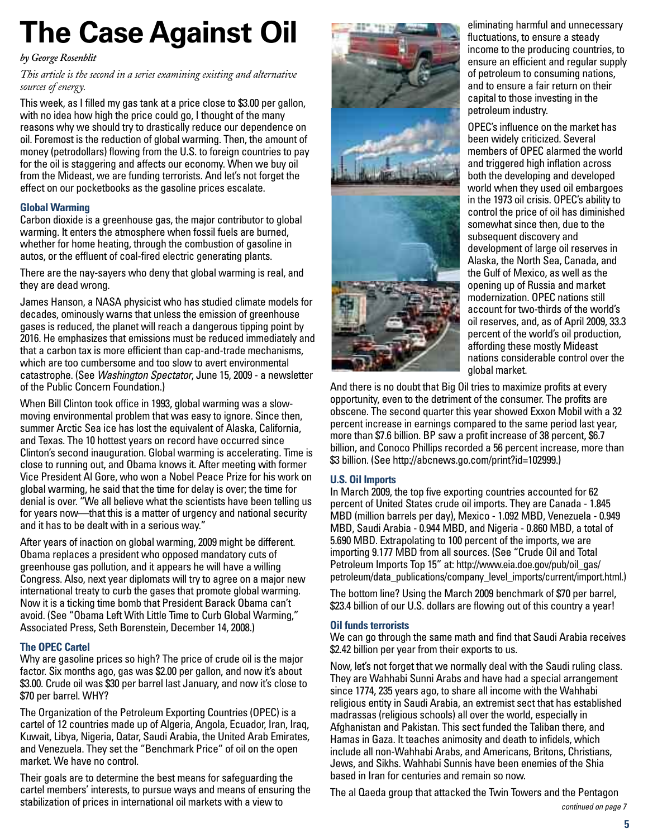# **The Case Against Oil**

#### *by George Rosenblit*

#### *This article is the second in a series examining existing and alternative sources of energy.*

This week, as I filled my gas tank at a price close to \$3.00 per gallon, with no idea how high the price could go, I thought of the many reasons why we should try to drastically reduce our dependence on oil. Foremost is the reduction of global warming. Then, the amount of money (petrodollars) flowing from the U.S. to foreign countries to pay for the oil is staggering and affects our economy. When we buy oil from the Mideast, we are funding terrorists. And let's not forget the effect on our pocketbooks as the gasoline prices escalate.

#### **Global Warming**

Carbon dioxide is a greenhouse gas, the major contributor to global warming. It enters the atmosphere when fossil fuels are burned, whether for home heating, through the combustion of gasoline in autos, or the effluent of coal-fired electric generating plants.

There are the nay-sayers who deny that global warming is real, and they are dead wrong.

James Hanson, a NASA physicist who has studied climate models for decades, ominously warns that unless the emission of greenhouse gases is reduced, the planet will reach a dangerous tipping point by 2016. He emphasizes that emissions must be reduced immediately and that a carbon tax is more efficient than cap-and-trade mechanisms, which are too cumbersome and too slow to avert environmental catastrophe. (See *Washington Spectator*, June 15, 2009 - a newsletter of the Public Concern Foundation.)

When Bill Clinton took office in 1993, global warming was a slowmoving environmental problem that was easy to ignore. Since then, summer Arctic Sea ice has lost the equivalent of Alaska, California, and Texas. The 10 hottest years on record have occurred since Clinton's second inauguration. Global warming is accelerating. Time is close to running out, and Obama knows it. After meeting with former Vice President Al Gore, who won a Nobel Peace Prize for his work on global warming, he said that the time for delay is over; the time for denial is over. "We all believe what the scientists have been telling us for years now—that this is a matter of urgency and national security and it has to be dealt with in a serious way."

After years of inaction on global warming, 2009 might be different. Obama replaces a president who opposed mandatory cuts of greenhouse gas pollution, and it appears he will have a willing Congress. Also, next year diplomats will try to agree on a major new international treaty to curb the gases that promote global warming. Now it is a ticking time bomb that President Barack Obama can't avoid. (See "Obama Left With Little Time to Curb Global Warming," Associated Press, Seth Borenstein, December 14, 2008.)

#### **The OPEC Cartel**

Why are gasoline prices so high? The price of crude oil is the major factor. Six months ago, gas was \$2.00 per gallon, and now it's about \$3.00. Crude oil was \$30 per barrel last January, and now it's close to \$70 per barrel. WHY?

The Organization of the Petroleum Exporting Countries (OPEC) is a cartel of 12 countries made up of Algeria, Angola, Ecuador, Iran, Iraq, Kuwait, Libya, Nigeria, Qatar, Saudi Arabia, the United Arab Emirates, and Venezuela. They set the "Benchmark Price" of oil on the open market. We have no control.

Their goals are to determine the best means for safeguarding the cartel members' interests, to pursue ways and means of ensuring the stabilization of prices in international oil markets with a view to



eliminating harmful and unnecessary fluctuations, to ensure a steady income to the producing countries, to ensure an efficient and regular supply of petroleum to consuming nations, and to ensure a fair return on their capital to those investing in the petroleum industry.

OPEC's influence on the market has been widely criticized. Several members of OPEC alarmed the world and triggered high inflation across both the developing and developed world when they used oil embargoes in the 1973 oil crisis. OPEC's ability to control the price of oil has diminished somewhat since then, due to the subsequent discovery and development of large oil reserves in Alaska, the North Sea, Canada, and the Gulf of Mexico, as well as the opening up of Russia and market modernization. OPEC nations still account for two-thirds of the world's oil reserves, and, as of April 2009, 33.3 percent of the world's oil production, affording these mostly Mideast nations considerable control over the global market.

And there is no doubt that Big Oil tries to maximize profits at every opportunity, even to the detriment of the consumer. The profits are obscene. The second quarter this year showed Exxon Mobil with a 32 percent increase in earnings compared to the same period last year, more than \$7.6 billion. BP saw a profit increase of 38 percent, \$6.7 billion, and Conoco Phillips recorded a 56 percent increase, more than \$3 billion. (See [http://abcnews.go.com/print?id=102999.\)](http://abcnews.go.com/print?id=102999)

#### **U.S. Oil Imports**

In March 2009, the top five exporting countries accounted for 62 percent of United States crude oil imports. They are Canada - 1.845 MBD (million barrels per day), Mexico - 1.092 MBD, Venezuela - 0.949 MBD, Saudi Arabia - 0.944 MBD, and Nigeria - 0.860 MBD, a total of 5.690 MBD. Extrapolating to 100 percent of the imports, we are importing 9.177 MBD from all sources. (See "Crude Oil and Total Petroleum Imports Top 15" at: [http://www.eia.doe.gov/pub/oil\\_gas/](http://www.eia.doe.gov/pub/oil_gas) petroleum/data\_publications/company\_level\_imports/current/import.html.)

The bottom line? Using the March 2009 benchmark of \$70 per barrel, \$23.4 billion of our U.S. dollars are flowing out of this country a year!

#### **Oil funds terrorists**

We can go through the same math and find that Saudi Arabia receives \$2.42 billion per year from their exports to us.

Now, let's not forget that we normally deal with the Saudi ruling class. They are Wahhabi Sunni Arabs and have had a special arrangement since 1774, 235 years ago, to share all income with the Wahhabi religious entity in Saudi Arabia, an extremist sect that has established madrassas (religious schools) all over the world, especially in Afghanistan and Pakistan. This sect funded the Taliban there, and Hamas in Gaza. It teaches animosity and death to infidels, which include all non-Wahhabi Arabs, and Americans, Britons, Christians, Jews, and Sikhs. Wahhabi Sunnis have been enemies of the Shia based in Iran for centuries and remain so now.

The al Qaeda group that attacked the Twin Towers and the Pentagon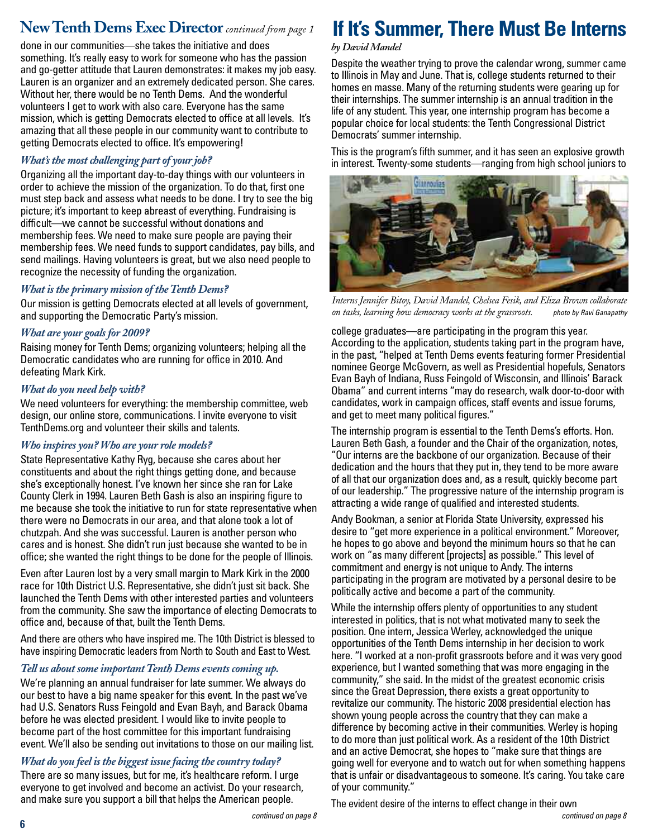# **New Tenth Dems Exec Director** *continued from page 1* **If It's Summer, There Must Be Interns**

done in our communities—she takes the initiative and does something. It's really easy to work for someone who has the passion and go-getter attitude that Lauren demonstrates: it makes my job easy. Lauren is an organizer and an extremely dedicated person. She cares. Without her, there would be no Tenth Dems. And the wonderful volunteers I get to work with also care. Everyone has the same mission, which is getting Democrats elected to office at all levels. It's amazing that all these people in our community want to contribute to getting Democrats elected to office. It's empowering!

#### *What's the most challenging part of your job?*

Organizing all the important day-to-day things with our volunteers in order to achieve the mission of the organization. To do that, first one must step back and assess what needs to be done. I try to see the big picture; it's important to keep abreast of everything. Fundraising is difficult—we cannot be successful without donations and membership fees. We need to make sure people are paying their membership fees. We need funds to support candidates, pay bills, and send mailings. Having volunteers is great, but we also need people to recognize the necessity of funding the organization.

#### *What is the primary mission of the Tenth Dems?*

Our mission is getting Democrats elected at all levels of government, and supporting the Democratic Party's mission.

#### *What are your goals for 2009?*

Raising money for Tenth Dems; organizing volunteers; helping all the Democratic candidates who are running for office in 2010. And defeating Mark Kirk.

#### *What do you need help with?*

We need volunteers for everything: the membership committee, web design, our online store, communications. I invite everyone to visit TenthDems.org and volunteer their skills and talents.

#### *Who inspires you? Who are your role models?*

State Representative Kathy Ryg, because she cares about her constituents and about the right things getting done, and because she's exceptionally honest. I've known her since she ran for Lake County Clerk in 1994. Lauren Beth Gash is also an inspiring figure to me because she took the initiative to run for state representative when there were no Democrats in our area, and that alone took a lot of chutzpah. And she was successful. Lauren is another person who cares and is honest. She didn't run just because she wanted to be in office; she wanted the right things to be done for the people of Illinois.

Even after Lauren lost by a very small margin to Mark Kirk in the 2000 race for 10th District U.S. Representative, she didn't just sit back. She launched the Tenth Dems with other interested parties and volunteers from the community. She saw the importance of electing Democrats to office and, because of that, built the Tenth Dems.

And there are others who have inspired me. The 10th District is blessed to have inspiring Democratic leaders from North to South and East to West.

#### *Tell us about some important Tenth Dems events coming up.*

We're planning an annual fundraiser for late summer. We always do our best to have a big name speaker for this event. In the past we've had U.S. Senators Russ Feingold and Evan Bayh, and Barack Obama before he was elected president. I would like to invite people to become part of the host committee for this important fundraising event. We'll also be sending out invitations to those on our mailing list.

#### *What do you feel is the biggest issue facing the country today?*

There are so many issues, but for me, it's healthcare reform. I urge everyone to get involved and become an activist. Do your research, and make sure you support a bill that helps the American people.

#### *by David Mandel*

Despite the weather trying to prove the calendar wrong, summer came to Illinois in May and June. That is, college students returned to their homes en masse. Many of the returning students were gearing up for their internships. The summer internship is an annual tradition in the life of any student. This year, one internship program has become a popular choice for local students: the Tenth Congressional District Democrats' summer internship.

This is the program's fifth summer, and it has seen an explosive growth in interest. Twenty-some students—ranging from high school juniors to



*Interns Jennifer Bitoy, David Mandel, Chelsea Fesik, and Eliza Brown collaborate on tasks, learning how democracy works at the grassroots. photo by Ravi Ganapathy*

college graduates—are participating in the program this year. According to the application, students taking part in the program have, in the past, "helped at Tenth Dems events featuring former Presidential nominee George McGovern, as well as Presidential hopefuls, Senators Evan Bayh of Indiana, Russ Feingold of Wisconsin, and Illinois' Barack Obama" and current interns "may do research, walk door-to-door with candidates, work in campaign offices, staff events and issue forums, and get to meet many political figures."

The internship program is essential to the Tenth Dems's efforts. Hon. Lauren Beth Gash, a founder and the Chair of the organization, notes, "Our interns are the backbone of our organization. Because of their dedication and the hours that they put in, they tend to be more aware of all that our organization does and, as a result, quickly become part of our leadership." The progressive nature of the internship program is attracting a wide range of qualified and interested students.

Andy Bookman, a senior at Florida State University, expressed his desire to "get more experience in a political environment." Moreover, he hopes to go above and beyond the minimum hours so that he can work on "as many different [projects] as possible." This level of commitment and energy is not unique to Andy. The interns participating in the program are motivated by a personal desire to be politically active and become a part of the community.

While the internship offers plenty of opportunities to any student interested in politics, that is not what motivated many to seek the position. One intern, Jessica Werley, acknowledged the unique opportunities of the Tenth Dems internship in her decision to work here. "I worked at a non-profit grassroots before and it was very good experience, but I wanted something that was more engaging in the community," she said. In the midst of the greatest economic crisis since the Great Depression, there exists a great opportunity to revitalize our community. The historic 2008 presidential election has shown young people across the country that they can make a difference by becoming active in their communities. Werley is hoping to do more than just political work. As a resident of the 10th District and an active Democrat, she hopes to "make sure that things are going well for everyone and to watch out for when something happens that is unfair or disadvantageous to someone. It's caring. You take care of your community."

The evident desire of the interns to effect change in their own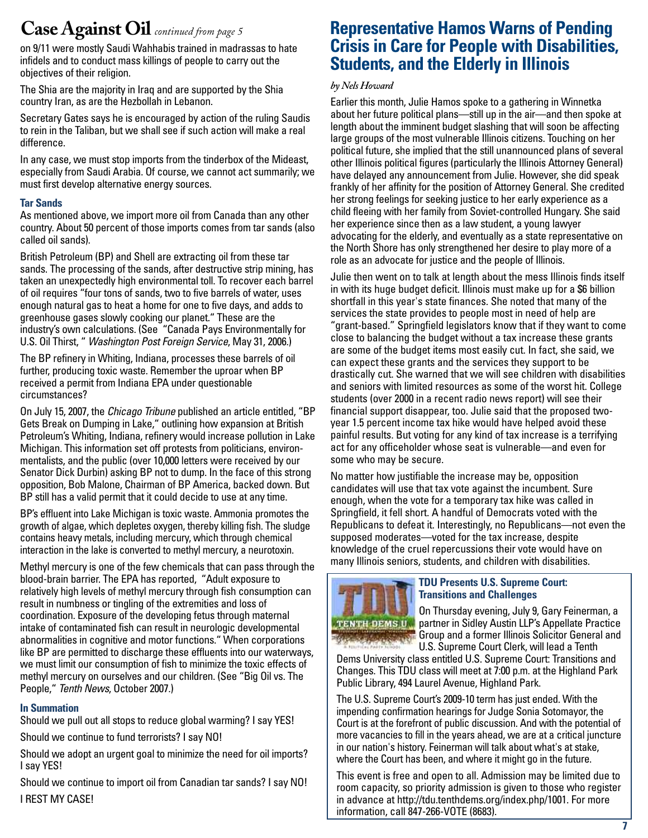# **Case Against Oil** *continued from page 5*

on 9/11 were mostly Saudi Wahhabis trained in madrassas to hate infidels and to conduct mass killings of people to carry out the objectives of their religion.

The Shia are the majority in Iraq and are supported by the Shia country Iran, as are the Hezbollah in Lebanon.

Secretary Gates says he is encouraged by action of the ruling Saudis to rein in the Taliban, but we shall see if such action will make a real difference.

In any case, we must stop imports from the tinderbox of the Mideast, especially from Saudi Arabia. Of course, we cannot act summarily; we must first develop alternative energy sources.

#### **Tar Sands**

As mentioned above, we import more oil from Canada than any other country. About 50 percent of those imports comes from tar sands (also called oil sands).

British Petroleum (BP) and Shell are extracting oil from these tar sands. The processing of the sands, after destructive strip mining, has taken an unexpectedly high environmental toll. To recover each barrel of oil requires "four tons of sands, two to five barrels of water, uses enough natural gas to heat a home for one to five days, and adds to greenhouse gases slowly cooking our planet." These are the industry's own calculations. (See "Canada Pays Environmentally for U.S. Oil Thirst, " *Washington Post Foreign Service*, May 31, 2006.)

The BP refinery in Whiting, Indiana, processes these barrels of oil further, producing toxic waste. Remember the uproar when BP received a permit from Indiana EPA under questionable circumstances?

On July 15, 2007, the *Chicago Tribune* published an article entitled, "BP Gets Break on Dumping in Lake," outlining how expansion at British Petroleum's Whiting, Indiana, refinery would increase pollution in Lake Michigan. This information set off protests from politicians, environmentalists, and the public (over 10,000 letters were received by our Senator Dick Durbin) asking BP not to dump. In the face of this strong opposition, Bob Malone, Chairman of BP America, backed down. But BP still has a valid permit that it could decide to use at any time.

BP's effluent into Lake Michigan is toxic waste. Ammonia promotes the growth of algae, which depletes oxygen, thereby killing fish. The sludge contains heavy metals, including mercury, which through chemical interaction in the lake is converted to methyl mercury, a neurotoxin.

Methyl mercury is one of the few chemicals that can pass through the blood-brain barrier. The EPA has reported, "Adult exposure to relatively high levels of methyl mercury through fish consumption can result in numbness or tingling of the extremities and loss of coordination. Exposure of the developing fetus through maternal intake of contaminated fish can result in neurologic developmental abnormalities in cognitive and motor functions." When corporations like BP are permitted to discharge these effluents into our waterways, we must limit our consumption of fish to minimize the toxic effects of methyl mercury on ourselves and our children. (See "Big Oil vs. The People," *Tenth News*, October 2007.)

#### **In Summation**

Should we pull out all stops to reduce global warming? I say YES!

Should we continue to fund terrorists? I say NO!

Should we adopt an urgent goal to minimize the need for oil imports? I say YES!

Should we continue to import oil from Canadian tar sands? I say NO! I REST MY CASE!

## **Representative Hamos Warns of Pending Crisis in Care for People with Disabilities, Students, and the Elderly in Illinois**

### *by Nels Howard*

Earlier this month, Julie Hamos spoke to a gathering in Winnetka about her future political plans—still up in the air—and then spoke at length about the imminent budget slashing that will soon be affecting large groups of the most vulnerable Illinois citizens. Touching on her political future, she implied that the still unannounced plans of several other Illinois political figures (particularly the Illinois Attorney General) have delayed any announcement from Julie. However, she did speak frankly of her affinity for the position of Attorney General. She credited her strong feelings for seeking justice to her early experience as a child fleeing with her family from Soviet-controlled Hungary. She said her experience since then as a law student, a young lawyer advocating for the elderly, and eventually as a state representative on the North Shore has only strengthened her desire to play more of a role as an advocate for justice and the people of Illinois.

Julie then went on to talk at length about the mess Illinois finds itself in with its huge budget deficit. Illinois must make up for a \$6 billion shortfall in this year's state finances. She noted that many of the services the state provides to people most in need of help are "grant-based." Springfield legislators know that if they want to come close to balancing the budget without a tax increase these grants are some of the budget items most easily cut. In fact, she said, we can expect these grants and the services they support to be drastically cut. She warned that we will see children with disabilities and seniors with limited resources as some of the worst hit. College students (over 2000 in a recent radio news report) will see their financial support disappear, too. Julie said that the proposed twoyear 1.5 percent income tax hike would have helped avoid these painful results. But voting for any kind of tax increase is a terrifying act for any officeholder whose seat is vulnerable—and even for some who may be secure.

No matter how justifiable the increase may be, opposition candidates will use that tax vote against the incumbent. Sure enough, when the vote for a temporary tax hike was called in Springfield, it fell short. A handful of Democrats voted with the Republicans to defeat it. Interestingly, no Republicans—not even the supposed moderates—voted for the tax increase, despite knowledge of the cruel repercussions their vote would have on many Illinois seniors, students, and children with disabilities.



#### **TDU Presents U.S. Supreme Court: Transitions and Challenges**

On Thursday evening, July 9, Gary Feinerman, a partner in Sidley Austin LLP's Appellate Practice Group and a former Illinois Solicitor General and U.S. Supreme Court Clerk, will lead a Tenth

Dems University class entitled U.S. Supreme Court: Transitions and Changes. This TDU class will meet at 7:00 p.m. at the Highland Park Public Library, 494 Laurel Avenue, Highland Park.

The U.S. Supreme Court's 2009-10 term has just ended. With the impending confirmation hearings for Judge Sonia Sotomayor, the Court is at the forefront of public discussion. And with the potential of more vacancies to fill in the years ahead, we are at a critical juncture in our nation's history. Feinerman will talk about what's at stake, where the Court has been, and where it might go in the future.

This event is free and open to all. Admission may be limited due to room capacity, so priority admission is given to those who register in advance at [http://tdu.tenthdems.org/index.php/1001.](http://tdu.tenthdems.org/index.php/1001) For more information, call 847-266-VOTE (8683).